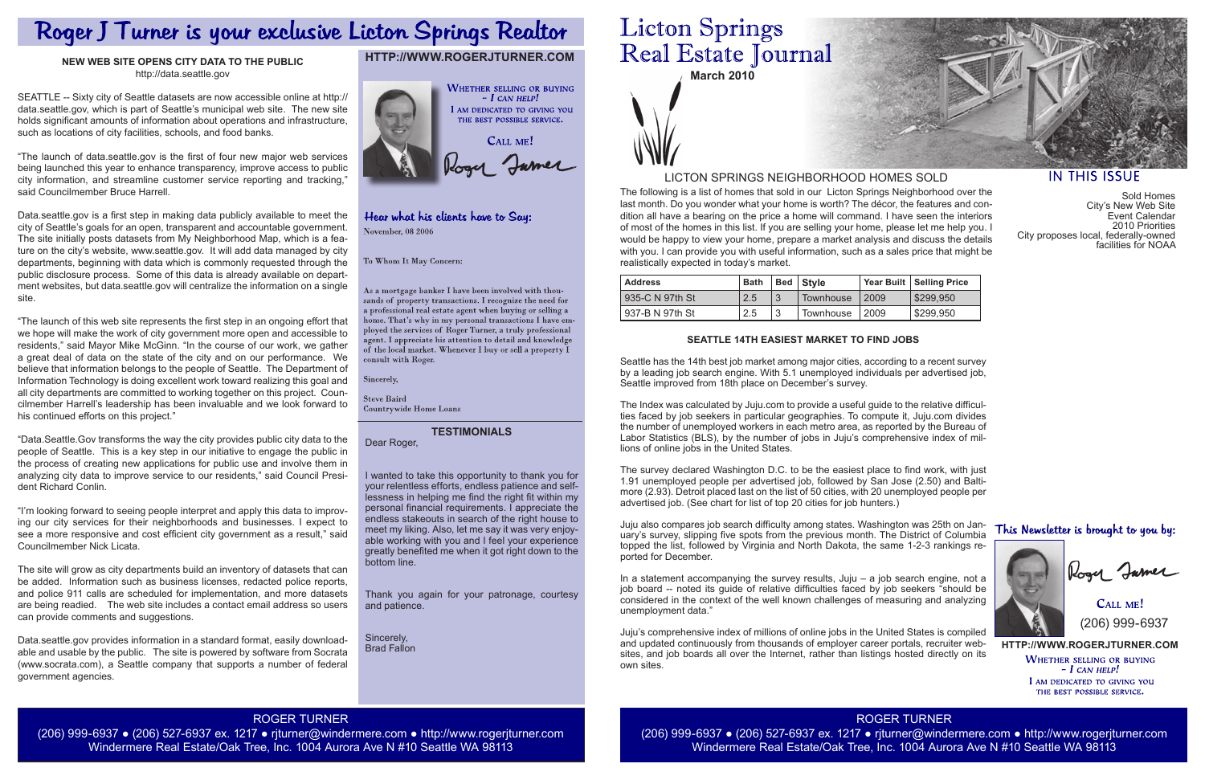**March 2010**

The following is a list of homes that sold in our Licton Springs Neighborhood over the last month. Do you wonder what your home is worth? The décor, the features and condition all have a bearing on the price a home will command. I have seen the interiors of most of the homes in this list. If you are selling your home, please let me help you. I would be happy to view your home, prepare a market analysis and discuss the details with you. I can provide you with useful information, such as a sales price that might be realistically expected in today's market.

> **HTTP://WWW.ROGERJTURNER.COM WHETHER SELLING OR BUYING**  $-$  I can help! I AM DEDICATED TO GIVING YOU THE BEST POSSIBLE SERVICE.

CALL ME! (206) 999-6937

### LICTON SPRINGS NEIGHBORHOOD HOMES SOLD

## **HTTP://WWW.ROGERJTURNER.COM**



#### Hear what his clients have to Say: November, 08 2006

To Whom It May Concern:

As a mortgage banker I have been involved with thousands of property transactions. I recognize the need for a professional real estate agent when buying or selling a home. That's why in my personal transactions I have employed the services of Roger Turner, a truly professional agent. I appreciate his attention to detail and knowledge of the local market. Whenever I buy or sell a property  $\check{\mathrm{I}}$ consult with Roger.

Sincerely,

| l Address         | <b>Bath</b> | Bed   Style |        | Year Built   Selling Price |
|-------------------|-------------|-------------|--------|----------------------------|
| 935-C N 97th St   | 2.5         | Townhouse   | l 2009 | \$299,950                  |
| l 937-B N 97th St | 2.5         | Townhouse   | l 2009 | \$299,950                  |

Sold Homes City's New Web Site Event Calendar 2010 Priorities City proposes local, federally-owned facilities for NOAA

#### This Newsletter is brought to you by:



Rogy James

#### **TESTIMONIALS**

Dear Roger,

**Steve Baird** Countrywide Home Loans

I wanted to take this opportunity to thank you for your relentless efforts, endless patience and selflessness in helping me find the right fit within my personal financial requirements. I appreciate the endless stakeouts in search of the right house to meet my liking. Also, let me say it was very enjoyable working with you and I feel your experience greatly benefited me when it got right down to the

bottom line.

# **Licton Springs** Real Estate Journal

Thank you again for your patronage, courtesy and patience.

Sincerely, Brad Fallon

> ROGER TURNER (206) 999-6937 ● (206) 527-6937 ex. 1217 ● rjturner@windermere.com ● http://www.rogerjturner.com Windermere Real Estate/Oak Tree, Inc. 1004 Aurora Ave N #10 Seattle WA 98113



#### **IN THIS ISSUE**

#### ROGER TURNER

(206) 999-6937 ● (206) 527-6937 ex. 1217 ● rjturner@windermere.com ● http://www.rogerjturner.com Windermere Real Estate/Oak Tree, Inc. 1004 Aurora Ave N #10 Seattle WA 98113

# Roger J Turner is your exclusive Licton Springs Realtor

#### **NEW WEB SITE OPENS CITY DATA TO THE PUBLIC** http://data.seattle.gov

SEATTLE -- Sixty city of Seattle datasets are now accessible online at http:// data.seattle.gov, which is part of Seattle's municipal web site. The new site holds significant amounts of information about operations and infrastructure, such as locations of city facilities, schools, and food banks.

"The launch of data.seattle.gov is the first of four new major web services being launched this year to enhance transparency, improve access to public city information, and streamline customer service reporting and tracking," said Councilmember Bruce Harrell.

> Seattle has the 14th best job market among major cities, according to a recent survey by a leading job search engine. With 5.1 unemployed individuals per advertised job, Seattle improved from 18th place on December's survey.

Data.seattle.gov is a first step in making data publicly available to meet the city of Seattle's goals for an open, transparent and accountable government. The site initially posts datasets from My Neighborhood Map, which is a feature on the city's website, www.seattle.gov. It will add data managed by city departments, beginning with data which is commonly requested through the public disclosure process. Some of this data is already available on department websites, but data.seattle.gov will centralize the information on a single site.

> In a statement accompanying the survey results,  $Juju - a$  job search engine, not a job board -- noted its guide of relative difficulties faced by job seekers "should be considered in the context of the well known challenges of measuring and analyzing unemployment data."

"The launch of this web site represents the first step in an ongoing effort that we hope will make the work of city government more open and accessible to residents," said Mayor Mike McGinn. "In the course of our work, we gather a great deal of data on the state of the city and on our performance. We believe that information belongs to the people of Seattle. The Department of Information Technology is doing excellent work toward realizing this goal and all city departments are committed to working together on this project. Councilmember Harrell's leadership has been invaluable and we look forward to his continued efforts on this project."

"Data.Seattle.Gov transforms the way the city provides public city data to the people of Seattle. This is a key step in our initiative to engage the public in the process of creating new applications for public use and involve them in analyzing city data to improve service to our residents," said Council President Richard Conlin.

"I'm looking forward to seeing people interpret and apply this data to improving our city services for their neighborhoods and businesses. I expect to see a more responsive and cost efficient city government as a result," said Councilmember Nick Licata.

The site will grow as city departments build an inventory of datasets that can be added. Information such as business licenses, redacted police reports, and police 911 calls are scheduled for implementation, and more datasets are being readied. The web site includes a contact email address so users can provide comments and suggestions.

Data.seattle.gov provides information in a standard format, easily downloadable and usable by the public. The site is powered by software from Socrata (www.socrata.com), a Seattle company that supports a number of federal government agencies.

#### **SEATTLE 14TH EASIEST MARKET TO FIND JOBS**

The Index was calculated by Juju.com to provide a useful guide to the relative difficulties faced by job seekers in particular geographies. To compute it, Juju.com divides the number of unemployed workers in each metro area, as reported by the Bureau of Labor Statistics (BLS), by the number of jobs in Juju's comprehensive index of millions of online jobs in the United States.

The survey declared Washington D.C. to be the easiest place to find work, with just 1.91 unemployed people per advertised job, followed by San Jose (2.50) and Baltimore (2.93). Detroit placed last on the list of 50 cities, with 20 unemployed people per advertised job. (See chart for list of top 20 cities for job hunters.)

Juju also compares job search difficulty among states. Washington was 25th on January's survey, slipping five spots from the previous month. The District of Columbia topped the list, followed by Virginia and North Dakota, the same 1-2-3 rankings reported for December.

Juju's comprehensive index of millions of online jobs in the United States is compiled and updated continuously from thousands of employer career portals, recruiter websites, and job boards all over the Internet, rather than listings hosted directly on its own sites.